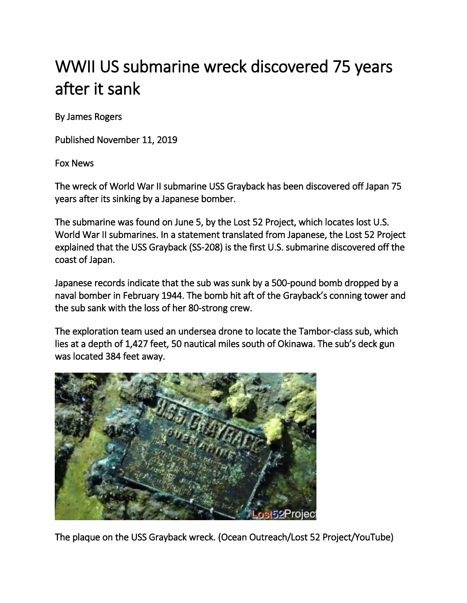## WWII US submarine wreck discovered 75 years after it sank

By James Rogers

Published November 11, 2019

[Fox News](http://www.foxnews.com/) 

The wreck of World War II submarine USS Grayback has been discovered off Japan 75 years after its sinking by a Japanese bomber.

The submarine was found on June 5, by the Lost 52 Project, which locates lost U.S. World War II submarines. In a statement translated from Japanese, the Lost 52 Project explained that the USS Grayback (SS-208) is the first U.S. submarine discovered off the coast of Japan.

Japanese records indicate that the sub was sunk by a 500-pound bomb dropped by a naval bomber in February 1944. The bomb hit aft of the Grayback's conning tower and the sub sank with the loss of her 80-strong crew.

The exploration team used an undersea drone to locate the Tambor-class sub, which lies at a depth of 1,427 feet, 50 nautical miles south of Okinawa. The sub's deck gun was located 384 feet away.



The plaque on the USS Grayback wreck. (Ocean Outreach/Lost 52 Project/YouTube)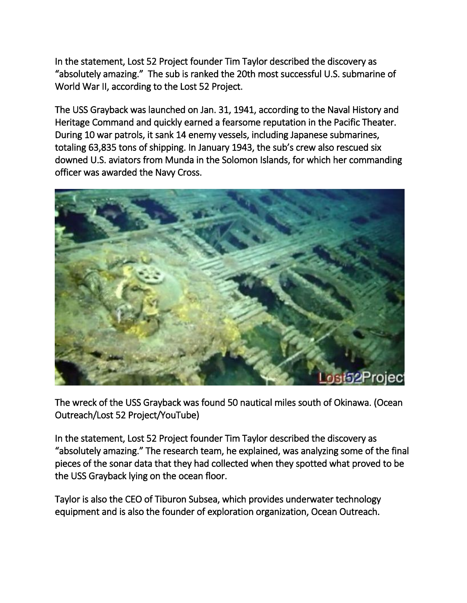In the statement, Lost 52 Project founder Tim Taylor described the discovery as "absolutely amazing." The sub is ranked the 20th most successful U.S. submarine of World War II, according to the Lost 52 Project.

The USS Grayback was launched on Jan. 31, 1941, according to the Naval History and Heritage Command and quickly earned a fearsome reputation in the Pacific Theater. During 10 war patrols, it sank 14 enemy vessels, including Japanese submarines, totaling 63,835 tons of shipping. In January 1943, the sub's crew also rescued six downed U.S. aviators from Munda in the Solomon Islands, for which her commanding officer was awarded the Navy Cross.



The wreck of the USS Grayback was found 50 nautical miles south of Okinawa. (Ocean Outreach/Lost 52 Project/YouTube)

In the statement, Lost 52 Project founder Tim Taylor described the discovery as "absolutely amazing." The research team, he explained, was analyzing some of the final pieces of the sonar data that they had collected when they spotted what proved to be the USS Grayback lying on the ocean floor.

Taylor is also the CEO of Tiburon Subsea, which provides underwater technology equipment and is also the founder of exploration organization, Ocean Outreach.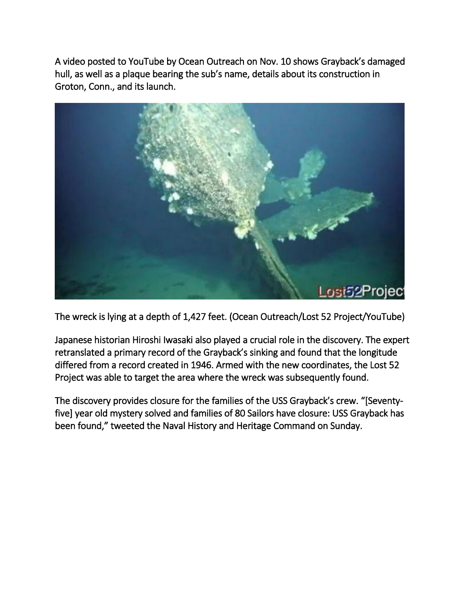A video posted to YouTube by Ocean Outreach on Nov. 10 shows Grayback's damaged hull, as well as a plaque bearing the sub's name, details about its construction in Groton, Conn., and its launch.



The wreck is lying at a depth of 1,427 feet. (Ocean Outreach/Lost 52 Project/YouTube)

Japanese historian Hiroshi Iwasaki also played a crucial role in the discovery. The expert retranslated a primary record of the Grayback's sinking and found that the longitude differed from a record created in 1946. Armed with the new coordinates, the Lost 52 Project was able to target the area where the wreck was subsequently found.

The discovery provides closure for the families of the USS Grayback's crew. "[Seventyfive] year old mystery solved and families of 80 Sailors have closure: USS Grayback has been found," tweeted the Naval History and Heritage Command on Sunday.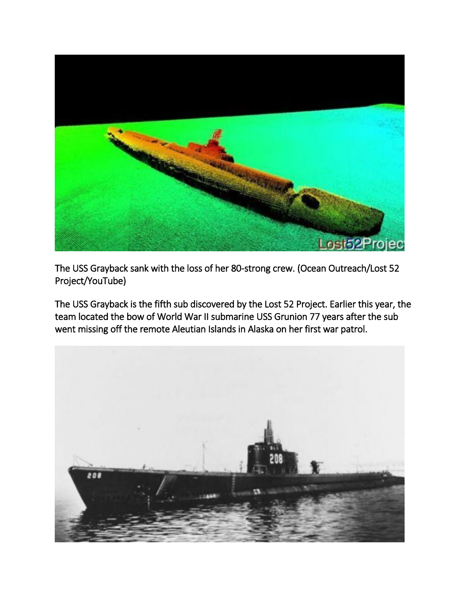

The USS Grayback sank with the loss of her 80-strong crew. (Ocean Outreach/Lost 52 Project/YouTube)

The USS Grayback is the fifth sub discovered by the Lost 52 Project. Earlier this year, the team located the bow of World War II submarine USS Grunion 77 years after the sub went missing off the remote Aleutian Islands in Alaska on her first war patrol.